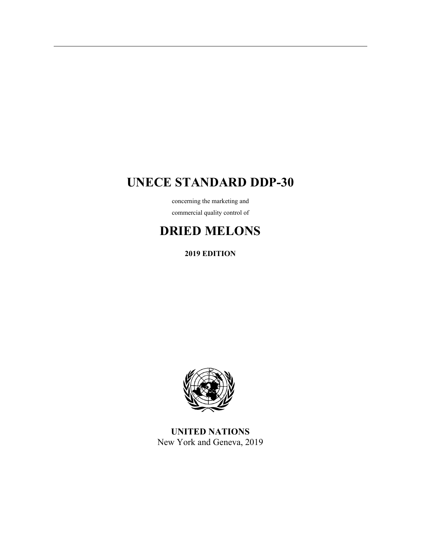# **UNECE STANDARD DDP-30**

concerning the marketing and commercial quality control of

# **DRIED MELONS**

**2019 EDITION** 



**UNITED NATIONS**  New York and Geneva, 2019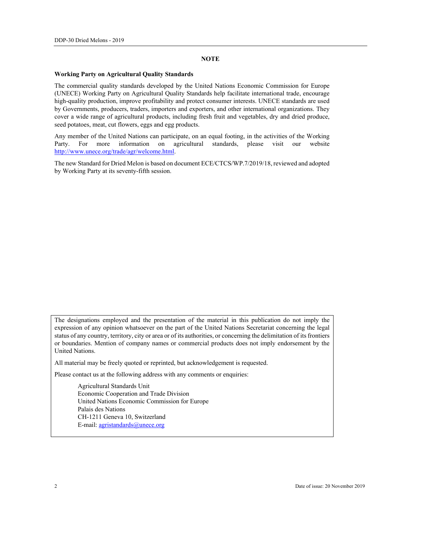#### **NOTE**

#### **Working Party on Agricultural Quality Standards**

The commercial quality standards developed by the United Nations Economic Commission for Europe (UNECE) Working Party on Agricultural Quality Standards help facilitate international trade, encourage high-quality production, improve profitability and protect consumer interests. UNECE standards are used by Governments, producers, traders, importers and exporters, and other international organizations. They cover a wide range of agricultural products, including fresh fruit and vegetables, dry and dried produce, seed potatoes, meat, cut flowers, eggs and egg products.

Any member of the United Nations can participate, on an equal footing, in the activities of the Working Party. For more information on agricultural standards, please visit our website http://www.unece.org/trade/agr/welcome.html.

The new Standard for Dried Melon is based on document ECE/CTCS/WP.7/2019/18, reviewed and adopted by Working Party at its seventy-fifth session.

The designations employed and the presentation of the material in this publication do not imply the expression of any opinion whatsoever on the part of the United Nations Secretariat concerning the legal status of any country, territory, city or area or of its authorities, or concerning the delimitation of its frontiers or boundaries. Mention of company names or commercial products does not imply endorsement by the United Nations.

All material may be freely quoted or reprinted, but acknowledgement is requested.

Please contact us at the following address with any comments or enquiries:

 Agricultural Standards Unit Economic Cooperation and Trade Division United Nations Economic Commission for Europe Palais des Nations CH-1211 Geneva 10, Switzerland E-mail: agristandards@unece.org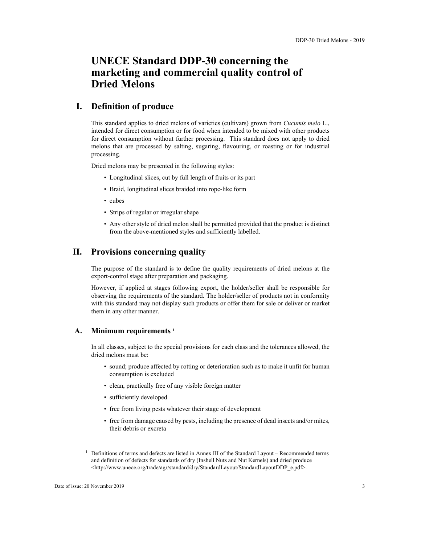# **UNECE Standard DDP-30 concerning the marketing and commercial quality control of Dried Melons**

# **I. Definition of produce**

This standard applies to dried melons of varieties (cultivars) grown from *Cucumis melo* L., intended for direct consumption or for food when intended to be mixed with other products for direct consumption without further processing. This standard does not apply to dried melons that are processed by salting, sugaring, flavouring, or roasting or for industrial processing.

Dried melons may be presented in the following styles:

- Longitudinal slices, cut by full length of fruits or its part
- Braid, longitudinal slices braided into rope-like form
- cubes
- Strips of regular or irregular shape
- Any other style of dried melon shall be permitted provided that the product is distinct from the above-mentioned styles and sufficiently labelled.

## **II. Provisions concerning quality**

The purpose of the standard is to define the quality requirements of dried melons at the export-control stage after preparation and packaging.

However, if applied at stages following export, the holder/seller shall be responsible for observing the requirements of the standard. The holder/seller of products not in conformity with this standard may not display such products or offer them for sale or deliver or market them in any other manner.

#### **А. Minimum requirements 1**

In all classes, subject to the special provisions for each class and the tolerances allowed, the dried melons must be:

- sound; produce affected by rotting or deterioration such as to make it unfit for human consumption is excluded
- clean, practically free of any visible foreign matter
- sufficiently developed
- free from living pests whatever their stage of development
- free from damage caused by pests, including the presence of dead insects and/or mites, their debris or excreta

<sup>&</sup>lt;sup>1</sup> Definitions of terms and defects are listed in Annex III of the Standard Layout – Recommended terms and definition of defects for standards of dry (Inshell Nuts and Nut Kernels) and dried produce <http://www.unece.org/trade/agr/standard/dry/StandardLayout/StandardLayoutDDP\_e.pdf>.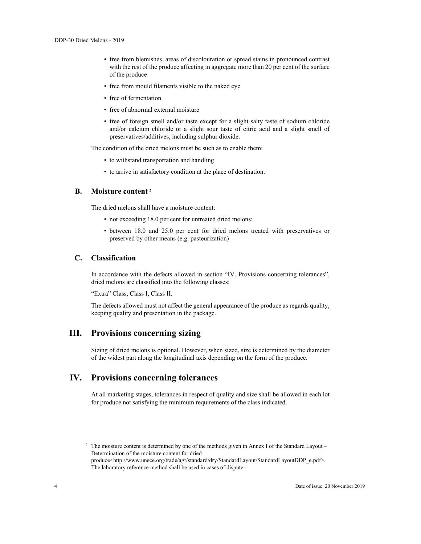- free from blemishes, areas of discolouration or spread stains in pronounced contrast with the rest of the produce affecting in aggregate more than 20 per cent of the surface of the produce
- free from mould filaments visible to the naked eye
- free of fermentation
- free of abnormal external moisture
- free of foreign smell and/or taste except for a slight salty taste of sodium chloride and/or calcium chloride or a slight sour taste of citric acid and a slight smell of preservatives/additives, including sulphur dioxide.

The condition of the dried melons must be such as to enable them:

- to withstand transportation and handling
- to arrive in satisfactory condition at the place of destination.

#### **В. Moisture content <sup>2</sup>**

The dried melons shall have a moisture content:

- not exceeding 18.0 per cent for untreated dried melons;
- between 18.0 and 25.0 per cent for dried melons treated with preservatives or preserved by other means (e.g. pasteurization)

#### **С. Classification**

In accordance with the defects allowed in section "IV. Provisions concerning tolerances", dried melons are classified into the following classes:

"Extra" Class, Class I, Class II.

The defects allowed must not affect the general appearance of the produce as regards quality, keeping quality and presentation in the package.

# **III. Provisions concerning sizing**

Sizing of dried melons is optional. However, when sized, size is determined by the diameter of the widest part along the longitudinal axis depending on the form of the produce.

# **IV. Provisions concerning tolerances**

At all marketing stages, tolerances in respect of quality and size shall be allowed in each lot for produce not satisfying the minimum requirements of the class indicated.

<sup>&</sup>lt;sup>2</sup> The moisture content is determined by one of the methods given in Annex I of the Standard Layout – Determination of the moisture content for dried produce<http://www.unece.org/trade/agr/standard/dry/StandardLayout/StandardLayoutDDP\_e.pdf>. The laboratory reference method shall be used in cases of dispute.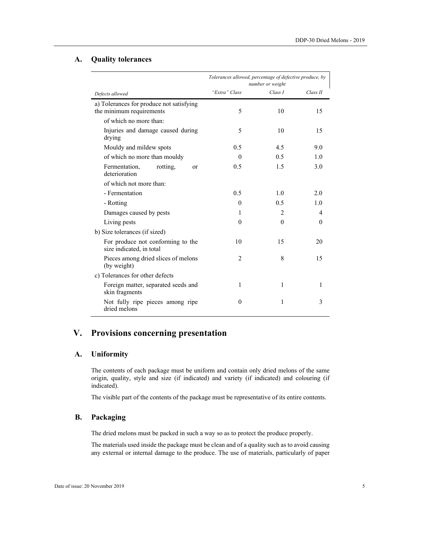## **А. Quality tolerances**

|                                                                      | Tolerances allowed, percentage of defective produce, by<br>number or weight |                |          |
|----------------------------------------------------------------------|-----------------------------------------------------------------------------|----------------|----------|
| Defects allowed                                                      | "Extra" Class                                                               | Class I        | Class II |
| a) Tolerances for produce not satisfying<br>the minimum requirements | 5                                                                           | 10             | 15       |
| of which no more than:                                               |                                                                             |                |          |
| Injuries and damage caused during<br>drying                          | 5                                                                           | 10             | 15       |
| Mouldy and mildew spots                                              | 0.5                                                                         | 4.5            | 9.0      |
| of which no more than mouldy                                         | $\Omega$                                                                    | 0.5            | 1.0      |
| Fermentation,<br>rotting,<br><b>or</b><br>deterioration              | 0.5                                                                         | 1.5            | 3.0      |
| of which not more than:                                              |                                                                             |                |          |
| - Fermentation                                                       | 0.5                                                                         | 1.0            | 2.0      |
| - Rotting                                                            | $\theta$                                                                    | 0.5            | 1.0      |
| Damages caused by pests                                              | 1                                                                           | $\overline{2}$ | 4        |
| Living pests                                                         | $\theta$                                                                    | $\theta$       | $\theta$ |
| b) Size tolerances (if sized)                                        |                                                                             |                |          |
| For produce not conforming to the<br>size indicated, in total        | 10                                                                          | 15             | 20       |
| Pieces among dried slices of melons<br>(by weight)                   | $\overline{2}$                                                              | 8              | 15       |
| c) Tolerances for other defects                                      |                                                                             |                |          |
| Foreign matter, separated seeds and<br>skin fragments                | 1                                                                           | 1              | 1        |
| Not fully ripe pieces among ripe<br>dried melons                     | $\theta$                                                                    | 1              | 3        |

# **V. Provisions concerning presentation**

### **A. Uniformity**

The contents of each package must be uniform and contain only dried melons of the same origin, quality, style and size (if indicated) and variety (if indicated) and colouring (if indicated).

The visible part of the contents of the package must be representative of its entire contents.

## **B. Packaging**

The dried melons must be packed in such a way so as to protect the produce properly.

The materials used inside the package must be clean and of a quality such as to avoid causing any external or internal damage to the produce. The use of materials, particularly of paper